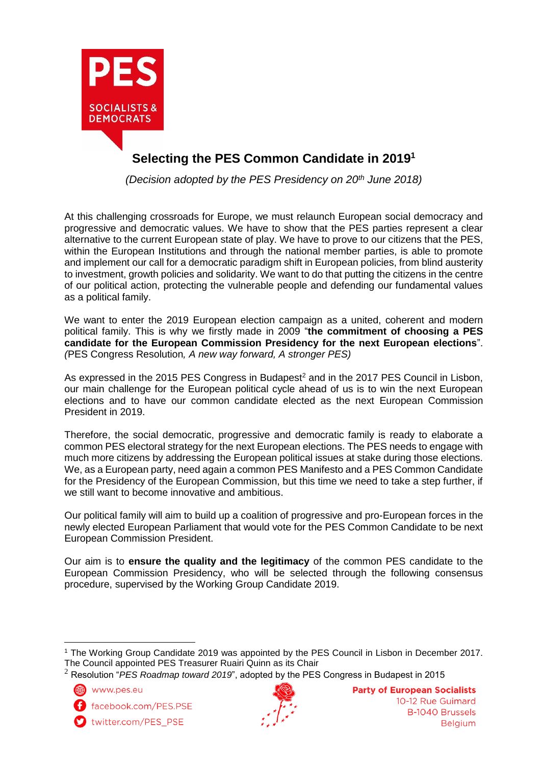

# **Selecting the PES Common Candidate in 2019 1**

*(Decision adopted by the PES Presidency on 20th June 2018)*

At this challenging crossroads for Europe, we must relaunch European social democracy and progressive and democratic values. We have to show that the PES parties represent a clear alternative to the current European state of play. We have to prove to our citizens that the PES, within the European Institutions and through the national member parties, is able to promote and implement our call for a democratic paradigm shift in European policies, from blind austerity to investment, growth policies and solidarity. We want to do that putting the citizens in the centre of our political action, protecting the vulnerable people and defending our fundamental values as a political family.

We want to enter the 2019 European election campaign as a united, coherent and modern political family. This is why we firstly made in 2009 "**the commitment of choosing a PES candidate for the European Commission Presidency for the next European elections**". *(*PES Congress Resolution*, A new way forward, A stronger PES)*

As expressed in the 2015 PES Congress in Budapest<sup>2</sup> and in the 2017 PES Council in Lisbon, our main challenge for the European political cycle ahead of us is to win the next European elections and to have our common candidate elected as the next European Commission President in 2019.

Therefore, the social democratic, progressive and democratic family is ready to elaborate a common PES electoral strategy for the next European elections. The PES needs to engage with much more citizens by addressing the European political issues at stake during those elections. We, as a European party, need again a common PES Manifesto and a PES Common Candidate for the Presidency of the European Commission, but this time we need to take a step further, if we still want to become innovative and ambitious.

Our political family will aim to build up a coalition of progressive and pro-European forces in the newly elected European Parliament that would vote for the PES Common Candidate to be next European Commission President.

Our aim is to **ensure the quality and the legitimacy** of the common PES candidate to the European Commission Presidency, who will be selected through the following consensus procedure, supervised by the Working Group Candidate 2019.

www.pes.eu

 $\overline{a}$ 

facebook.com/PES.PSE

twitter.com/PES\_PSE



<sup>1</sup> The Working Group Candidate 2019 was appointed by the PES Council in Lisbon in December 2017. The Council appointed PES Treasurer Ruairi Quinn as its Chair

<sup>2</sup> Resolution "*PES Roadmap toward 2019*", adopted by the PES Congress in Budapest in 2015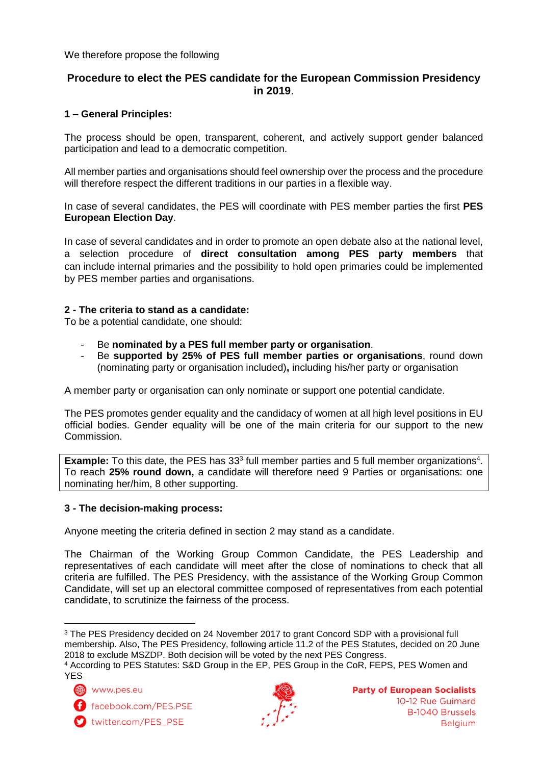#### We therefore propose the following

# **Procedure to elect the PES candidate for the European Commission Presidency in 2019**.

# **1 – General Principles:**

The process should be open, transparent, coherent, and actively support gender balanced participation and lead to a democratic competition.

All member parties and organisations should feel ownership over the process and the procedure will therefore respect the different traditions in our parties in a flexible way.

In case of several candidates, the PES will coordinate with PES member parties the first **PES European Election Day**.

In case of several candidates and in order to promote an open debate also at the national level, a selection procedure of **direct consultation among PES party members** that can include internal primaries and the possibility to hold open primaries could be implemented by PES member parties and organisations.

#### **2 - The criteria to stand as a candidate:**

To be a potential candidate, one should:

- Be **nominated by a PES full member party or organisation**.
- Be **supported by 25% of PES full member parties or organisations**, round down (nominating party or organisation included)**,** including his/her party or organisation

A member party or organisation can only nominate or support one potential candidate.

The PES promotes gender equality and the candidacy of women at all high level positions in EU official bodies. Gender equality will be one of the main criteria for our support to the new Commission.

**Example:** To this date, the PES has 33<sup>3</sup> full member parties and 5 full member organizations<sup>4</sup>. To reach **25% round down,** a candidate will therefore need 9 Parties or organisations: one nominating her/him, 8 other supporting.

#### **3 - The decision-making process:**

Anyone meeting the criteria defined in section 2 may stand as a candidate.

The Chairman of the Working Group Common Candidate, the PES Leadership and representatives of each candidate will meet after the close of nominations to check that all criteria are fulfilled. The PES Presidency, with the assistance of the Working Group Common Candidate, will set up an electoral committee composed of representatives from each potential candidate, to scrutinize the fairness of the process.

(4) www.pes.eu

f facebook.com/PES.PSE





 $\overline{a}$ <sup>3</sup> The PES Presidency decided on 24 November 2017 to grant Concord SDP with a provisional full membership. Also, The PES Presidency, following article 11.2 of the PES Statutes, decided on 20 June 2018 to exclude MSZDP. Both decision will be voted by the next PES Congress.

<sup>4</sup> According to PES Statutes: S&D Group in the EP, PES Group in the CoR, FEPS, PES Women and YES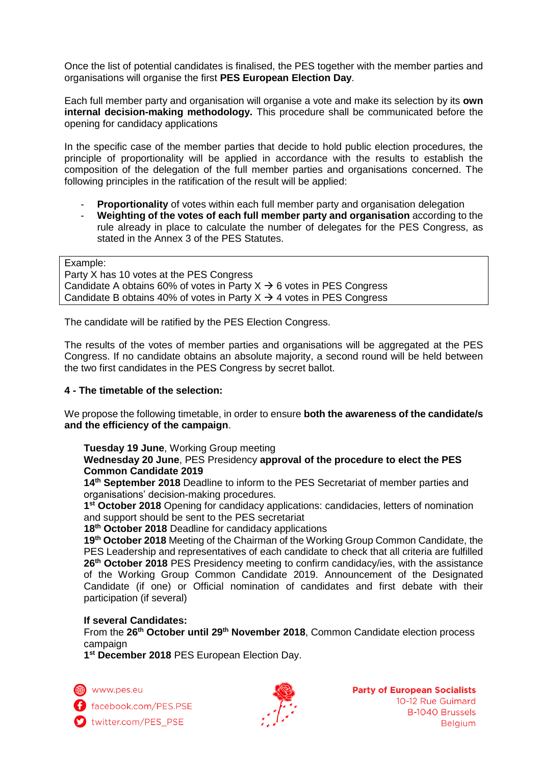Once the list of potential candidates is finalised, the PES together with the member parties and organisations will organise the first **PES European Election Day**.

Each full member party and organisation will organise a vote and make its selection by its **own internal decision-making methodology.** This procedure shall be communicated before the opening for candidacy applications

In the specific case of the member parties that decide to hold public election procedures, the principle of proportionality will be applied in accordance with the results to establish the composition of the delegation of the full member parties and organisations concerned. The following principles in the ratification of the result will be applied:

- **Proportionality** of votes within each full member party and organisation delegation
- **Weighting of the votes of each full member party and organisation** according to the rule already in place to calculate the number of delegates for the PES Congress, as stated in the Annex 3 of the PES Statutes.

Example: Party X has 10 votes at the PES Congress Candidate A obtains 60% of votes in Party  $X \rightarrow 6$  votes in PES Congress Candidate B obtains 40% of votes in Party  $X \rightarrow 4$  votes in PES Congress

The candidate will be ratified by the PES Election Congress.

The results of the votes of member parties and organisations will be aggregated at the PES Congress. If no candidate obtains an absolute majority, a second round will be held between the two first candidates in the PES Congress by secret ballot.

# **4 - The timetable of the selection:**

We propose the following timetable, in order to ensure **both the awareness of the candidate/s and the efficiency of the campaign**.

**Tuesday 19 June**, Working Group meeting

**Wednesday 20 June**, PES Presidency **approval of the procedure to elect the PES Common Candidate 2019**

**14th September 2018** Deadline to inform to the PES Secretariat of member parties and organisations' decision-making procedures.

**1 st October 2018** Opening for candidacy applications: candidacies, letters of nomination and support should be sent to the PES secretariat

**18 th October 2018** Deadline for candidacy applications

19<sup>th</sup> October 2018 Meeting of the Chairman of the Working Group Common Candidate, the PES Leadership and representatives of each candidate to check that all criteria are fulfilled **26th October 2018** PES Presidency meeting to confirm candidacy/ies, with the assistance of the Working Group Common Candidate 2019. Announcement of the Designated Candidate (if one) or Official nomination of candidates and first debate with their participation (if several)

#### **If several Candidates:**

From the **26th October until 29 th November 2018**, Common Candidate election process campaign

**1 st December 2018** PES European Election Day.

Www.pes.eu

facebook.com/PES.PSE twitter.com/PES PSE